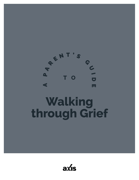

## **Walking through Grief**

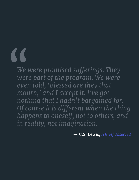# "

*We were promised sufferings. They were part of the program. We were even told, 'Blessed are they that mourn,' and I accept it. I've got nothing that I hadn't bargained for. Of course it is different when the thing happens to oneself, not to others, and in reality, not imagination.*

— C.S. Lewis, *[A Grief Observed](https://www.amazon.com/Grief-Observed-C-S-Lewis/dp/0060652381)*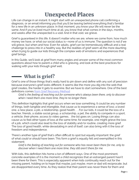### Unexpected Places

Life can change in an instant. It might start with an unexpected phone call confirming a diagnosis, or an email informing you that you'll be leaving behind everything that's familiar for a new life in an unknown place. In that moment, you know your life will never be the same. And if you've lived much time at all, you know that what comes in the days, months, and weeks after the unexpected is a void. And in that void, we grieve.

Grief is guaranteed in this life. It doesn't matter who we are, where we come from, how much money we have, or what our social status is—none of us is immune. The question is not *if* we will grieve, but when and how. Even for adults, grief can be tremendously difficult and a real challenge to press into in a healthy way. But the realities of grief seem all the more daunting when trying to guide our kids through the complex web of emotions and experiences that grief brings.

In this Guide, we'll look at grief from many angles and answer some of the most common questions about how to parent a child who is grieving, and look at the best practices for walking with your kids through grief well.

#### What is grief?

Grief is one of those things that's really hard to pin down and define with any sort of precision because everyone's grief looks different. It seems like the more you dig into the web that grief creates, the harder it gets to examine. But we have to start somewhere. One of the best definitions comes [from Grief Recovery Method:](https://www.griefrecoverymethod.com/blog/2013/06/best-grief-definition-you-will-find)

*Grief is the feeling of reaching out for someone who's always been there, only to discover when I need them one more time, they're no longer there.*

This definition highlights that grief occurs when we lose something. It could be any number of things, both tangible and intangible, that cause us to experience a sense of loss: a loved one, a new place, a job, a relationship, good health. . . .For our kids, it could be the loss of a teacher, friends, a stable social group, a scholarship, a pet, the ability to compete in a sport, a vehicle, their phone, access to video games. . .the list goes on. Losing things can also cause us to feel other types of loss at the same time; for example, one might grieve the loss of a job, which could also lead to the loss of stability and/or routine, creating more grief. The loss of good health, while devastating in and of itself, can also bring with it the loss of freedom and independence.

There's another type of grief that's often difficult to spot but equally important: the grief of what *could* or *should* have been. This form a grief is equally felt and exemplified in this statement:

*Grief is the feeling of reaching out for someone who has never been there for me, only to discover when I need them one more time, they still aren't there for me.*

With kids, this definition hits home a ton of different ways. One of the most prominent, concrete examples of it is the moment a child recognizes that an estranged parent hasn't been there for them. This is especially apparent when kids continually reach out for the missing parent, holding on to hope that maybe, just maybe, mom or dad will reciprocate, but are disappointed every time. As they realize that their parent was never there for them and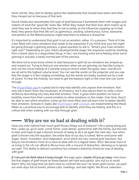never will be, they start to deeply grieve the relationship that should have been and what they missed out on because of that lack.

Social media also exacerbates this type of grief because it bombards them with images and notions of what the "good life" looks like. When they realize that their lives don't match up to what they see or when they feel they're not as pretty as the influencer popping up in their feed, they grieve that their life isn't as glamorous, exciting, adventurous, funny, awesome, and perfect as the filtered pictures might lead them to believe it should be.

It's important to understand that grief is not an emotion; rather, it's a process. Think of it like a box filled with many emotions that needs to be unpacked. If you think that your kid might be going through a grieving process, a great question to ask is, "What's your main emotion right now?" Depending on your child's developmental stage, the response could be anything from a blank stare to a disgruntled shrug. In fact, not knowing what we're feeling when we're grieving is actually a totally normal part of the process.

We tend not to even know where to start because in grief all our emotions are amped up and maxed out. Trying to find just one emotion when we are grieving can feel like trying to pick out the vocal melody of a worship song at church when the guitar, bass, and drums are all set to the highest volume level. You can see the words on the projector and you see that the singer is in fact singing something, but the words are totally washed out by a wall of sound. To hear the melody, we need to get the balance right so the main line can come through.

The [Mood Meter app](http://moodmeterapp.com/) is a great tool to help kids identify and unpack their emotions. Not only will it teach them the vocabulary of emotions, but it also allows them to write a short sentence describing why they feel that emotion. Then, it gives them pointers on how to healthily move from their current emotion to other emotions on the meter. Over time, they'll be able to see which emotions come up the most often and will learn how to better identify their emotions. Schools in states like [Washington](https://www.thenewstribune.com/news/local/education/article114040358.html) and [Colorado](https://mountainview.asd20.org/Teachers/Michelle_Lynch/Pages/RULER.aspx) are implementing the Mood Meter as a practical way to encourage kids to identify what they are feeling, and this is a critical skill when walking with our kids through grief.

#### Why are we so bad at dealing with it?

Have you ever noticed how much grief throws things out of balance? Life is going along just fine—wake up, go to work, come home, cook dinner, spend time with the family, put the kids to bed, and hope to get a decent amount of sleep to do it all again the next day—but when grief is thrown into the equation, the entire flow of our day is ruined. We're overcome with anger, shock, frustration, and indignation, all of which are very normal grief reactions, but they're not emotions most of us have to deal with on a regular basis. Why? Because most of us living in the US can afford to fill our lives with a mound of distraction, allowing us to ignore our pain. This ability to distract ourselves has created a distinctly American way of dealing with grief.

*If I can just not think about it long enough*, the logic goes, *maybe it'll just go away*. And since the five stages of grief (more on these below) are hard and painful, why not try to avoid them? Why not hope that we don't have to confront the loss? So when grief comes, we pack our work days full of events, phone calls, meetings, and late nights. We fill our calendars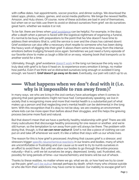with coffee dates, hair appointments, soccer practice, and dinner outings. We download the latest apps, photos, videos, games, and social media platforms. We binge the newest Netflix, Amazon, and Hulu shows. Of course, none of these activities are bad in and of themselves, but when we or our kids use them to avoid or distract ourselves from grief, we do ourselves great harm, whether we realize it or not.

To be fair, there are times when [grief avoidance](https://whatsyourgrief.com/avoidance-in-grief/) can be helpful. For example, in the days after a death when a person is faced with the logistical nightmare of organizing a funeral, it's normal to be busy with preparations to the point that he/she doesn't have time to address their emotions (that is, until the service is over and the chaos has calmed down). Grief avoidance can also offer a necessary short respite to someone who has been doing the heavy work of digging into their grief. It allows them some time away from the intense emotions before trudging forward once again. Sometimes we just need a funny episode of our favorite show to make us laugh a little bit or an easy, relaxing book that transports us to another world for a time.

Ultimately, though, grief avoidance [doesn't work](https://www.griefincommon.com/blog/avoiding-grief-why-it-doesnt-work/) in the long run because the only way to truly deal with grief is to face it head on, to experience every emotion it brings, no matter how painful. Even if we think we've distracted ourselves long enough or avoided it long enough, we haven't. **Grief doesn't go away on its own.** Eventually, our pain will catch up to us.

#### What happens when we don't deal with it (i.e. why is it impossible to run away from)?

In many ways, we who are living in the 21st century have advantages when it comes to grieving that past generations might not have had. Comparatively speaking, we live in society that is recognizing more and more that mental health is a substantial part of what makes up a person and that neglecting one's mental health can be detrimental in the long term. With this recognition that it's okay to not be okay, we are creating an environment where kids can be more open than before about their struggles, and this helps the grieving process become more fluid and natural.

But that doesn't mean that we have a perfectly healthy relationship with grief. There are still many subcultures that discourage healthy processing for one reason or another, and we're still human, so the temptation to run away from pain will always be there. The problem with doing that, though, is that *we can never outrun it*. Grief is not like a piece of clothing we can put on and take off whenever we want; it's like a tattoo that stays with us our whole lives.

The reason for this is how grief is processed. Anything that causes grief is a stressor, and stressors trigger [specific neurochemical reactions](https://www.youtube.com/watch?v=eEcaUhxAH2g) in our brains and bodies, many of which are uncomfortable or frustrating and can cause us to want to try to numb ourselves in an effort to avoid them. But until we allow our bodies to go through the entire process naturally—that is, until we let ourselves be angry, depressed, lonely, sad, frustrated, etc., possibly for long periods of time—our neurochemistry and brains will be out of whack.

Thanks to these realities, no matter where we go, what we do, or how hard we try to cover up the pain, grief [can't be outrun](https://hopeforgrievinghearts.com/2017/10/30/cant-outrun-grief/) (except perhaps by death, which many who choose suicide or who die from their addictions may have come to realize). Our inability to escape grief isn't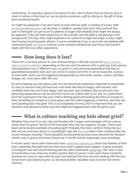a bad thing—it's actually a grace if we allow it to be—but it means that we have to face it when it comes. In the long run, we are giving ourselves a gift by doing so, the gift of longterm emotional health.

As might be expected, if we don't learn to deal with our grief, a number of issues, both [emotional](https://www.psychologytoday.com/us/blog/fixing-families/201706/six-signs-incomplete-grief) and [physical,](https://www.gethealthystayhealthy.com/articles/5-ways-grief-may-affect-your-health) can develop. In addition, people who don't fully confront the pain in their grief can get stuck in patterns of anger and irritability that might not always be apparent. They can look totally fine on the outside, but the grief is still playing in the background. One day, they might explode in an outburst of rage and anger or they might start having recurring panic attacks. If you're wondering if you or your kids are dealing with unresolved grief, [this article](https://www.griefrecoverymethod.com/blog/2015/06/7-signs-youre-experiencing-unresolved-grief) outlines some common tendencies that those who haven't dealt with their loss often experience.

#### How long does it last?

There isn't a set time period. It's one of those things in life that can last for days, months, [years, or even a lifetime,](https://www.mayoclinic.org/patient-visitor-guide/support-groups/what-is-grief) depending on the loss and the person who is grieving. Each person will experience loss in different ways, so grief is a very personal experience that has no guaranteed expiration date and can come in waves over time. It can be seasonal, cyclical, or even both, and it can be triggered unexpectedly by memories, events, scents, activities, images, etc. even *years* after the loss.

As we're helping our kids grieve well, this fact becomes extremely important to remember. It's easy to assume that just because a kid looks like they're happy, self-assured, and confident that they are in fact happy, self-assured, and confident. But we all know how deceiving appearances can be and how much our culture tells us to "put on a good face." Don't be surprised if one day your child is feeling good and looking like they've moved on, then something as simple as a song plays over the radio triggering a memory, and they are sent spiraling back into grief. This is all completely normal, and it's important that you are sensitive and attuned to when your kid might be triggered back into the grief cycle.

#### What is culture teaching my kids about grief?

Whether they know it or not, kids are flooded with images and examples of how culture wants them to grieve. Not all of the examples they see are negative, though. There have been some recent examples of positive grief. Probably the most common thing that our kids will see and hear about is a candlelight vigil, like [this one](https://www.nbcnews.com/news/world/new-zealand-mosque-attack-thousands-attend-vigil-honor-victims-n986681) held in New Zealand after the recent Mosque shooting. These beautiful and powerful services have become the Western world's way to grieve and honor those lost in horrific events, especially mass shootings.

In recent years, we've seen more and more <u>celebrities opening up</u> about the realities of their lives, especially the grief and loss they face when tragedy does happen. A great example is Instagram star and recent *Dancing with the Stars* contestant [Alexis Ren](https://www.minq.com/new/2346960/instagram-star-alexis-ren-reveals-how-the-tragedies-behind-her-eating-disorder-taught-her-a-hard-but-important-lesson/). Her story is one of tremendous loss when her mother quickly died of cancer. In her grief, Alexis turned to anorexia as a way to cope with the pain, but realized that how she was dealing with the loss of her mom was destroying her, so she found better, healthier ways to honor her mom's memory.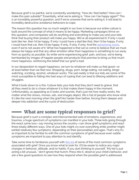Because grief is so painful, we're constantly wondering, "How do I feel better? How can I make this pain subside?" Essentially, what we're asking is, "How can I be happy again?" This is an incredibly powerful question, and if we're unaware that we're asking it, it will lead to incredibly destructive avoidance behaviors to cope.

The reason this question has so much weight in our lives is because our entire culture is built around the concept of what it means to be happy. Marketing campaigns thrive on this question, and companies will do anything and everything to make you and your kids think that buying their product will make you happy. We've all experienced it: If only I could look like her, *then* I'd be happy. If only I could have a dad like that, *then* I'd be happy. If only I could have that car, *then* I'd be happy. If only, if only, if only. And the [advertising works,](https://www.psychologytoday.com/us/blog/ulterior-motives/201008/what-does-advertising-do) even if we're not aware of it. What has happened is that we've come to believe that we must *always* be happy and that any other emotion other than happiness is something to run away from as quickly as possible. So while we're experiencing grief, pain, and loss, we're being bombarded by images of happier people and products that promise to bring us that much more happiness, reinforcing the belief that our grief is bad.

In our desperation to regain happiness, we turn to whatever will make us feel good—or at least better than we feel now. Shopping, drugs, porn, binge eating, not eating, binge watching, scrolling, alcohol...whatever works. The sad reality is that our kids are some of the most susceptible to falling into bad ways of coping that can lead to lifelong additions and struggles.

What it boils down to is this: Culture tells your kids that they don't need to grieve, that all they need to do is chase whatever it is that makes them happy in the moment. Unfortunately, as appealing as it looks and sounds, that's just not how reality works. No matter what the shows, movies, ads, and images depict, life is full of people who know what it's like the next morning when the grief hits harder than before, forcing them deeper and deeper into addiction and the cycle of destruction.

#### What are some typical responses to grief?

Because grief is such a complex and interconnected web of emotions, experiences, and traumas, a huge spectrum of symptoms can manifest in your kids. Three kids going through the exact same loss—say moving across the country—can show grief symptoms and react three totally different ways. One of your kids might cry over everything while another might exhibit relatively few symptoms, depending on their personalities and ages. That's why it's so important to be familiar to with the common symptoms of grief because even subtle symptoms are important to pay attention to and identify.

Take some time to familiarize yourself with [this list](https://griefwatch.com/normal-reactions-to-loss/?SID=v9h5k2hh6t8v28anpa7vibjoj6) of some of the most common symptoms associated with grief. Once you know what to look for, it'll be easier to notice any major changes in behavior, attitude, and/or habits. If you start thinking to yourself, "My kid is just acting a bit unusual…" don't ignore that hunch. Press into it, observe your child's behavior, and ask a few good questions to see how they respond when the possible grief is addressed.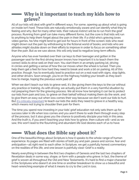#### Why is it important to teach my kids how to grieve?

All of our kids will deal with grief in different ways. For some, opening up about what is going on inside isn't hard. These kids are naturally emotionally aware and can identify what they're feeling and why. But for many other kids, their natural instinct will be to run from the grief process. Running from grief can take many different forms, but the core is that kids will run to anything to help them forget about the pain in their life. If a child who's grieving loves video games, he/she might tend to get lost for hours in front of the screen; kids who read might drown out the pain by withdrawing to the fictional world of books; and kids who are athletes might double down on their efforts to improve in order to focus on something other than the pain. But as we saw above, this will only lead to negative long-term effects.

Anyone who has ever handed over their car keys to their teenager and gotten in the passenger seat for the first driving lesson knows how important it is to teach them the correct skills to drive well on their own. You start them in an empty parking lot, driving in circles and getting a sense of how the car moves when the wheel is turned. Then you help them get a feel for how hard they need to break and work a bit on parking. All of this practice, though, has to eventually lead to practice out on a real road with signs, stop lights, and other drivers. Soon enough, you're on the highway holding your breath as they learn how to merge, hoping the previous work paid off.

When we don't teach our kids to grieve well, it's like giving them the keys to the car without any practice or training. As with driving, we actually put them in a very harmful situation by not preparing them for the grieving process. We all know how tempting it can be to protect our kids from pain and loss, to grieve on their behalf without making them do the work, and to give them an easy out when loss comes their way because we don't want our kids to hurt. But [it's critically important](https://richmondmom.com/2018/08/17/teaching-kids-grief/) to teach our kids the skills they need to grieve in a healthy way, which means not trying to shoulder their pain for them.

The time you spend now investing in your kids' grief education not only sets them up for success later in life when loss comes and you aren't there to walk them through every step of the process, but it also gives you the chance to positively disciple your kids in this area. And the truth is, if you aren't teaching your kids how to grieve, then culture will—and as we saw, this won't lead to the flourishing and abundant life God desires each of us to have.

#### What does the Bible say about it?

One of the beautiful things about Scripture is how it speaks to the whole range of human experience. Its pages are filled with stories of both joy and pain, peace and sorrow, fear and anticipation—all right next to each other. In Scripture, we get a painfully honest commentary on the realities of this life, and one lesson is painfully clear: Grief is a reality.

Nearly everything in between the first two chapters of Genesis and the last two chapters of Revelation deals in some way, shape, or form with a people who grieve. In fact, the theme of grief is woven all throughout the Old and New Testaments. It's hard to find a major character in the Scriptures who doesn't at one time or another breakdown to show us a beautiful and heart-wrenching example of what it means to cry to the Lord in loss.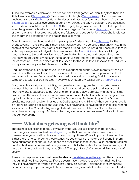Just a few examples: Adam and Eve are banished from garden of Eden; they lose their son Able to murder ([Gen. 3:23-4:16](https://www.biblegateway.com/passage/?search=Genesis+3%3A23-4%3A16&version=NIV)); Esau loses his birthright ([Gen. 25:29-34](https://www.biblegateway.com/passage/?search=Genesis+25%3A29-34&version=ESV)); Naomi loses her husband and sons ([Ruth 1:1-5](https://www.biblegateway.com/passage/?search=Ruth+1%3A1-5&version=NIV)); Hannah grieves and weeps before Lord when she's barren  $(1$  Sam.  $1:1-16)$ ; Job loses everything around him, curses the day he was born, and questions why he didn't perish before birth  $($   $Job$   $3)$ ; the mighty king David is humbled to full repentance when he grieves his horrific and abominable sin against Bathsheba ( $P<sub>S</sub>alm 51$ ); and nearly all of the major and minor prophets grieve the failures of Israel, suffer for the prophetic witness, and mourn the destruction of the nation that is coming.

One of the most humbling and striking examples of grief is found in [John 11:35.](https://www.biblegateway.com/passage/?search=John+11%3A35&version=NIV) It's the shortest verse in the Bible and simply says: "Jesus wept." The verse is almost haunting. In the context of the passage, Jesus gets news that his friend Lazarus has died. Those of us familiar with the passage know that just a few sentences later (John  $11:38-44$ ), Jesus will bring Lazarus back to life, and he will emerge from the tomb a healed and renewed man. With this knowledge, Jesus crying over the death of Lazarus seems a bit strange, but it shows the compassion, love, and deep grief Jesus feels for those He loves. It shows that God feels such pain over our pain that He mourns with us.

God understands our grief because He has experienced our pain even more fully than we have. Jesus, the incarnate God, has experienced hurt, pain, loss, and separation on levels we can only imagine. Because of this we don't have a stoic, uncaring God, but one who sympathizes with our weaknesses in every way through Christ's suffering ([Hebrews 4:15](https://www.biblegateway.com/passage/?search=Hebrews+4%3A15&version=NIV)).

Our grief acts as a signpost, pointing our gaze to something greater. In our grief we are reminded that something is horribly flawed in our world because pain and loss are not how the world is supposed to be. Our grief reminds us that we are utterly unable to fix the problems in the world, but it also can draw our attention to the God who is working to make right all that is wrong around us. That is the Gospel story. And even in grief, the Gospel breaks into our pain and reminds us that God is good and is fixing it. When our kids grieve, it isn't right; it's wrong because the loss they have never should have been. In that loss, remind your kids that the Gospel is big enough to hold their pain and that our God understands what they're going through. As they suffer, they are never alone because God is with them through everything.

#### What does grieving well look like?

There's no exact science to tell us what grieving well looks like for each person, but psychologists have identified [five stages](https://psychcentral.com/lib/the-5-stages-of-loss-and-grief/) of grief that are universal and cross-cultural, meaning everyone of all backgrounds goes through them. What's important to remember is that there is no set order to these stages, no set amount of time one will spend in them, nor a guarantee that one will ever reach the final stage (acceptance). So, rather than freaking out if a child seems depressed or angry, we can talk to them about what they're feeling and help them figure out what they need (Time? Therapy? Space? Community? To get outside? Love?).

To reach acceptance, one must have the **desire**, **[persistence](https://whatsyourgrief.com/ideal-grieving-well/)**, **patience**, and **time** to work through their feelings. Obviously, if one doesn't have the desire to confront their feelings, they will never move forward, as we've previously discussed. Persistence is so important because, when people are in grief, they are more easily overwhelmed and therefore tend to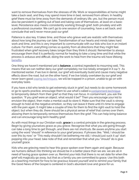want to remove themselves from the stresses of life. Work or responsibilities at home might take a back seat, and they may spend more time in bed, removed from others. In healthy grief there must be time away from the demands of ordinary life, yes, but the person must also be persistent in getting out of bed and taking care of themselves, at least on a basic level. Persistence also means consistently working through grief, both privately and with a professional counselor. We can't go to one session of counseling, have a set back, and conclude that we'll never move past our grief.

Patience is also key. It takes time, and those who grieve well are realistic with themselves about how long the journey can take. Transformation of our hearts and minds takes hard work and time, and this is very important to communicate with our kids who live in an instant culture. For them, everything comes so quickly from all directions that they might feel frustrated when grief recovery takes longer than they think it should. Remember to always encourage them that it is perfectly normal for healing to take a long time and that while the process is arduous and difficult, doing the work to heal from the trauma will have lifelong [benefits](https://www.betterhelp.com/advice/grief/benefits-of-grief-counseling/).

One thing we haven't mentioned yet is **balance**, a central ingredient to mourning well. This means that we can neither deny our grief completely nor live totally emerged in it 24/7. As mentioned earlier, if we live in denial, our grief will eventually build and cause many negative effects down the road, but on the other hand, if we live totally overtaken by our grief and never learn good [coping techniques](http://www.mentalhealthamerica.net/conditions/coping-loss-bereavement-and-grief), we will be trapped in a prison, unable to go on with everyday tasks.

If you have a kid who tends to get extremely stuck in grief, but needs to do some homework or go to sports practice, encourage them to use what's called a [containment technique](https://www.eatingdisorderhope.com/treatment-for-eating-disorders/co-occurring-dual-diagnosis/trauma-ptsd/self-soothing-techniques-when-feeling-traumatized) to temporarily detach from their grief so that they can focus. In containment, you ask the question, "If you grief were an object, what would it be?" Then you encourage your kid to envision the object, then make a mental vault to store it. Make sure that the vault is strong enough to hold all the negative emotion, so they can leave it there until it's time to engage with the pain again. It might take a couple of tries for them to find the right vault to hold the object, but when they do, there should be a physical sense of relief that comes over them, allowing them to temporarily remove themselves from the grief. This can help bring balance and can encourage long term healthy grief.

As with most things in our Christian walk, **grace** is a central principle in the grieving process. Begin by giving yourselves grace as you grieve. Recognize that what you are going through can take a long time to get through...and there are not shortcuts. Be aware anytime you start using the word "should" in reference to your grief process. If phrases like, "Well, I should be over this by now," or "This really shouldn't be bothering me still; I should just suck it up" start popping into your head, take note of that and remember that what you "should" do is give yourself grace.

Kids who are grieving need to hear this grace spoken over them again and again. Because we humans default into thinking we should be in a better place than we are, we are all in need of having grace spoken over us. Remind your kids that there is no set date for when the grief will magically go away, but that as a family you are committed to grace. Use this both as a teaching moment for how to be gracious toward yourself and to remind your family that the Good News of the Gospel is centered in God's abundant love and grace for us.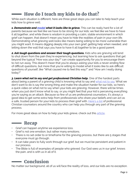#### How do I teach my kids to do that?

While each situation is different, here are three great steps you can take to help teach your kids how to grieve well.

*1. Demonstrate and [model](https://whatsyourgrief.com/supporting-a-grieving-child-modeling/) what it looks like to grieve.* This can be really hard for a lot of parents because we feel like we have to be strong for our kids; we feel like we have to have it all together, and while there is wisdom in providing a calm, stable environment in which grief can happen, that doesn't mean you have to hide the realities of pain in your own life. Demonstrating what grieving well looks like means being willing to be more vulnerable than you might want. It means digging deeply into your own grief, getting help when needed, and letting down the wall that says you have to have it all together to be a good parent.

*2. Ask tough questions and answer their tough questions.* Kids who are grieving will tend to shut down from the pain they're experiencing, but learning how to ask questions that get beyond the typical "How was your day?" can create opportunity for you to encourage them to not run away. This doesn't mean that you're always asking your kids a never-ending flow of difficult questions, but more that you're willing to model what it looks like to ask difficult questions of yourself, like "What caused me to feel this way?" and "How am I really doing today?"

*3. Learn what not to say and get professional Christian help.* One of the hardest parts about being a parent of a grieving child is knowing what to say and [what not to say.](https://www.crossway.org/articles/what-not-to-say-to-a-grieving-person/) What we don't want to do is say the wrong thing and make the situation harder for our kids, so here's a quick video on what not to say when your kids are grieving. However, there will be times when you just don't know what to say, or you might feel that your kid is perceiving everything you're saying as an attack. Because so few of us are professional counselors, it's always a good idea to get some extra help from professionals who share your beliefs and can act as a safe, trusted person for your kids to process their grief with. [Here's a list](https://www.christiancounselordirectory.com/) of professional Christian counselors around the country who can help you through any part of the grieving process.

For more great ideas on how to help your kids grieve, check out this [article](https://www.dougy.org/grief-resources/how-to-help-a-grieving-child/).

#### **<u>Single</u>** Recap

- Grief can happen anytime we experience loss.
- Grief is not one emotion, but rather many emotions.
- $\cdot$  There is no set order to or timeframe for the grieving process, but there are 5 stages that everyone must go through.
- It can take years to fully work through our grief, but we must be persistent and patient in our process.
- The Bible is full of examples of people who grieved. Our God sees us in our grief, knows the pain, and is with us in all of it.

#### Conclusion

No matter our background, all of us will face the reality of loss, and our kids are no exception.